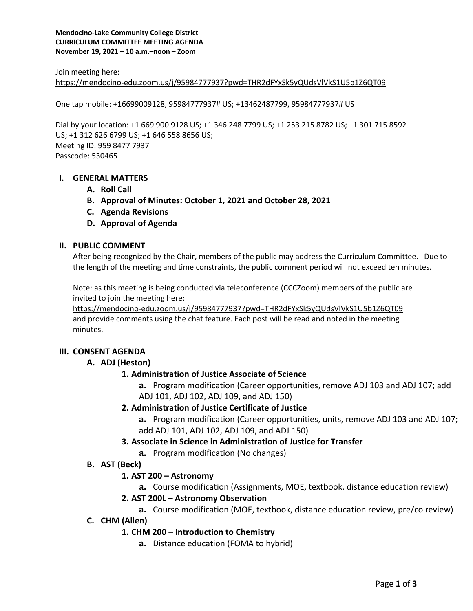#### Join meeting here:

https://mendocino-edu.zoom.us/j/95984777937?pwd=THR2dFYxSk5yQUdsVlVkS1U5b1Z6QT09

One tap mobile: +16699009128, 95984777937# US; +13462487799, 95984777937# US

Dial by your location: +1 669 900 9128 US; +1 346 248 7799 US; +1 253 215 8782 US; +1 301 715 8592 US; +1 312 626 6799 US; +1 646 558 8656 US; Meeting ID: 959 8477 7937 Passcode: 530465

#### **I. GENERAL MATTERS**

- **A. Roll Call**
- **B. Approval of Minutes: October 1, 2021 and October 28, 2021**
- **C. Agenda Revisions**
- **D. Approval of Agenda**

#### **II. PUBLIC COMMENT**

After being recognized by the Chair, members of the public may address the Curriculum Committee. Due to the length of the meeting and time constraints, the public comment period will not exceed ten minutes.

Note: as this meeting is being conducted via teleconference (CCCZoom) members of the public are invited to join the meeting here:

https://mendocino-edu.zoom.us/j/95984777937?pwd=THR2dFYxSk5yQUdsVlVkS1U5b1Z6QT09 and provide comments using the chat feature. Each post will be read and noted in the meeting minutes.

#### **III. CONSENT AGENDA**

#### **A. ADJ (Heston)**

### **1. Administration of Justice Associate of Science**

**a.** Program modification (Career opportunities, remove ADJ 103 and ADJ 107; add ADJ 101, ADJ 102, ADJ 109, and ADJ 150)

### **2. Administration of Justice Certificate of Justice**

**a.** Program modification (Career opportunities, units, remove ADJ 103 and ADJ 107; add ADJ 101, ADJ 102, ADJ 109, and ADJ 150)

### **3. Associate in Science in Administration of Justice for Transfer**

**a.** Program modification (No changes)

### **B. AST (Beck)**

#### **1. AST 200 – Astronomy**

**a.** Course modification (Assignments, MOE, textbook, distance education review)

#### **2. AST 200L – Astronomy Observation**

- **a.** Course modification (MOE, textbook, distance education review, pre/co review)
- **C. CHM (Allen)**

### **1. CHM 200 – Introduction to Chemistry**

**a.** Distance education (FOMA to hybrid)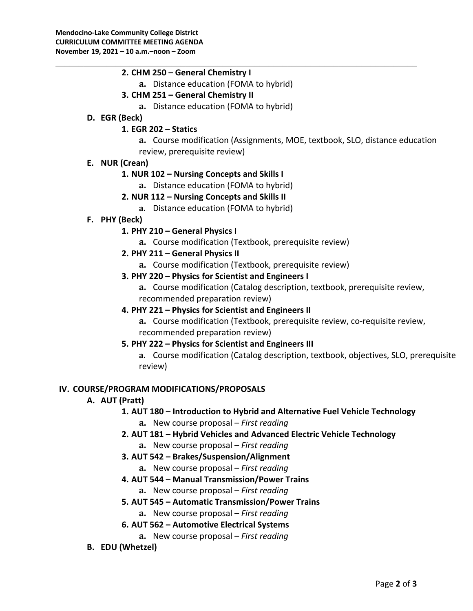## **2. CHM 250 – General Chemistry I**

**a.** Distance education (FOMA to hybrid)

## **3. CHM 251 – General Chemistry II**

**a.** Distance education (FOMA to hybrid)

## **D. EGR (Beck)**

## **1. EGR 202 – Statics**

**a.** Course modification (Assignments, MOE, textbook, SLO, distance education review, prerequisite review)

## **E. NUR (Crean)**

## **1. NUR 102 – Nursing Concepts and Skills I**

**a.** Distance education (FOMA to hybrid)

# **2. NUR 112 – Nursing Concepts and Skills II**

- **a.** Distance education (FOMA to hybrid)
- **F. PHY (Beck)**

# **1. PHY 210 – General Physics I**

**a.** Course modification (Textbook, prerequisite review)

## **2. PHY 211 – General Physics II**

**a.** Course modification (Textbook, prerequisite review)

## **3. PHY 220 – Physics for Scientist and Engineers I**

**a.** Course modification (Catalog description, textbook, prerequisite review, recommended preparation review)

### **4. PHY 221 – Physics for Scientist and Engineers II**

**a.** Course modification (Textbook, prerequisite review, co-requisite review, recommended preparation review)

### **5. PHY 222 – Physics for Scientist and Engineers III**

**a.** Course modification (Catalog description, textbook, objectives, SLO, prerequisite review)

### **IV. COURSE/PROGRAM MODIFICATIONS/PROPOSALS**

### **A. AUT (Pratt)**

# **1. AUT 180 – Introduction to Hybrid and Alternative Fuel Vehicle Technology**

- **a.** New course proposal *First reading*
- **2. AUT 181 – Hybrid Vehicles and Advanced Electric Vehicle Technology**
	- **a.** New course proposal *First reading*
- **3. AUT 542 – Brakes/Suspension/Alignment**
	- **a.** New course proposal *First reading*
- **4. AUT 544 – Manual Transmission/Power Trains**
	- **a.** New course proposal *First reading*

# **5. AUT 545 – Automatic Transmission/Power Trains**

- **a.** New course proposal *First reading*
- **6. AUT 562 – Automotive Electrical Systems**
	- **a.** New course proposal *First reading*

### **B. EDU (Whetzel)**